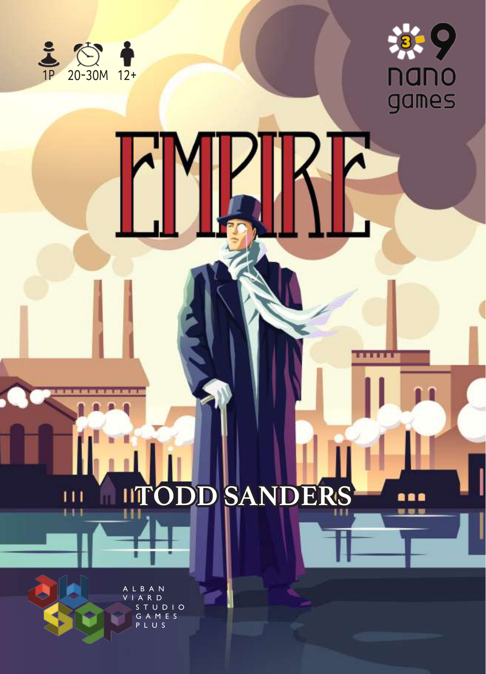



....

8 Q Q . . .

# **ITODD SANDERS** Ш

**B** A N R D . . . .<br>S T U D I O<br>G A M E S G A M E S PLUS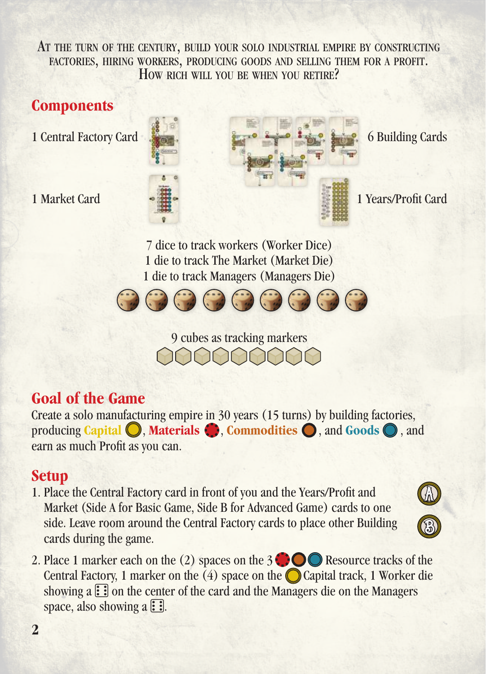At the turn of the century, build your solo industrial empire by constructing factories, hiring workers, producing goods and selling them for <sup>a</sup> profit. How rich will you be when you retire?

### **Components**

- 
- 



7 dice to track workers (Worker Dice) 1 die to track The Market (Market Die) 1 die to track Managers (Managers Die)



9 cubes as tracking markers

### **Goal of the Game**

Create a solo manufacturing empire in 30 years (15 turns) by building factories, producing **Capital** , **Materials** , **Commodities** , and **Goods** , and earn as much Profit as you can.

### **Setup**

1. Place the Central Factory card in front of you and the Years/Profit and Market (Side A for Basic Game, Side B for Advanced Game) cards to one side. Leave room around the Central Factory cards to place other Building cards during the game.



2. Place 1 marker each on the (2) spaces on the  $3 \bigcirc \bigcirc \bigcirc$  Resource tracks of the Central Factory, 1 marker on the  $(4)$  space on the  $\bigcirc$  Capital track, 1 Worker die showing  $a \ddot{\ddot{\cdot}}$  on the center of the card and the Managers die on the Managers space, also showing a  $\Xi$ .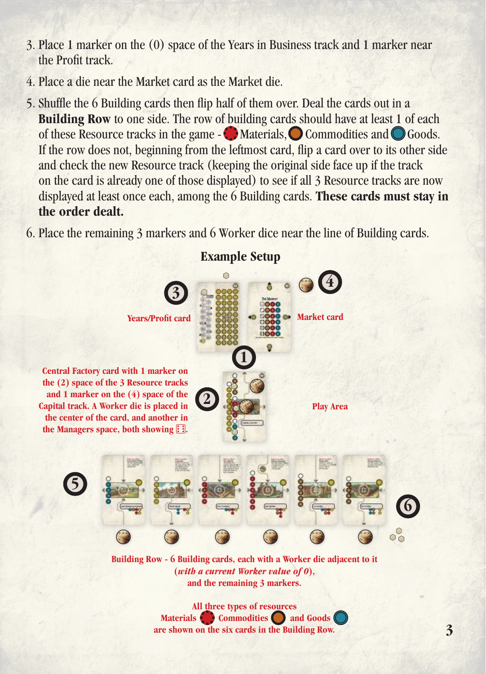- 3. Place 1 marker on the (0) space of the Years in Business track and 1 marker near the Profit track.
- 4. Place a die near the Market card as the Market die.
- 5. Shuffle the 6 Building cards then flip half of them over. Deal the cards out in a **Building Row** to one side. The row of building cards should have at least 1 of each of these Resource tracks in the game  $-\bullet$  Materials,  $\bullet$  Commodities and  $\bullet$  Goods. If the row does not, beginning from the leftmost card, flip a card over to its other side and check the new Resource track (keeping the original side face up if the track on the card is already one of those displayed) to see if all 3 Resource tracks are now displayed at least once each, among the 6 Building cards. **These cards must stay in the order dealt.**
- 6. Place the remaining 3 markers and 6 Worker dice near the line of Building cards.



**Materials Commodities and Goods are shown on the six cards in the Building Row.**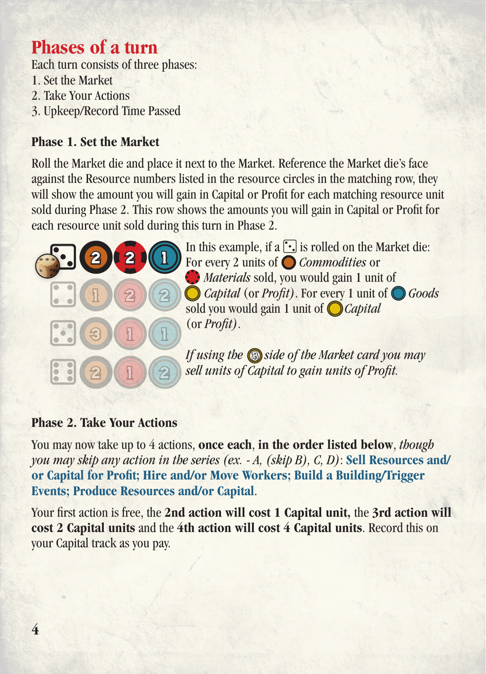### **Phases of a turn**

Each turn consists of three phases:

- 1. Set the Market
- 2. Take Your Actions
- 3. Upkeep/Record Time Passed

#### **Phase 1. Set the Market**

Roll the Market die and place it next to the Market. Reference the Market die's face against the Resource numbers listed in the resource circles in the matching row, they will show the amount you will gain in Capital or Profit for each matching resource unit sold during Phase 2. This row shows the amounts you will gain in Capital or Profit for each resource unit sold during this turn in Phase 2.



In this example, if a  $\lceil \cdot \rceil$  is rolled on the Market die: For every 2 units of *Commodities* or *Materials* sold, you would gain 1 unit of *Capital* (or *Profit)*. For every 1 unit of *Goods* sold you would gain 1 unit of *Capital* (or *Profit)*.

If using the **S** side of the Market card you may *sell units of Capital to gain units of Profit.* 

#### **Phase 2. Take Your Actions**

You may now take up to 4 actions, **once each**, **in the order listed below**, *though you may skip any action in the series (ex. - A, (skip B), C, D)*: **Sell Resources and/ or Capital for Profit; Hire and/or Move Workers; Build a Building/Trigger Events; Produce Resources and/or Capital**.

Your first action is free, the **2nd action will cost 1 Capital unit,** the **3rd action will cost 2 Capital units** and the **4th action will cost 4 Capital units**. Record this on your Capital track as you pay.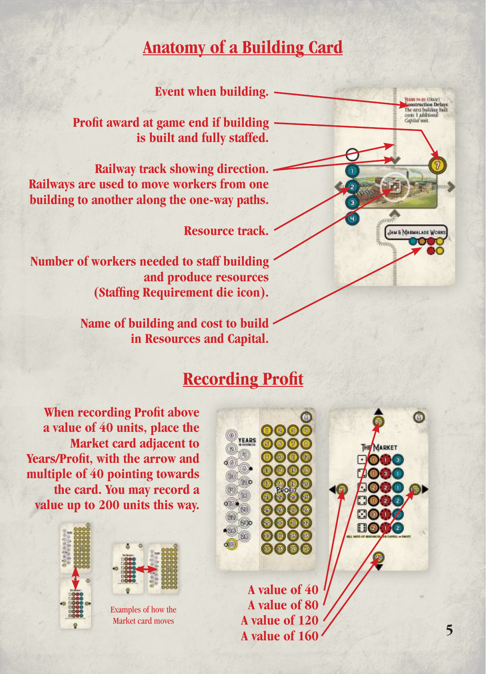### **Anatomy of a Building Card**

**Event when building.**

**Profit award at game end if building is built and fully staffed.**

**Railway track showing direction. Railways are used to move workers from one building to another along the one-way paths.**

**Resource track.**

**Number of workers needed to staff building and produce resources (Staffing Requirement die icon).**

> **Name of building and cost to build in Resources and Capital.**

### **Recording Profit**

**When recording Profit above a value of 40 units, place the Market card adjacent to Years/Profit, with the arrow and multiple of 40 pointing towards the card. You may record a value up to 200 units this way.**





Examples of how the Market card moves



**A value of 40 A value of 80 A value of 120 A value of 160**



JUN & MARMALADE W

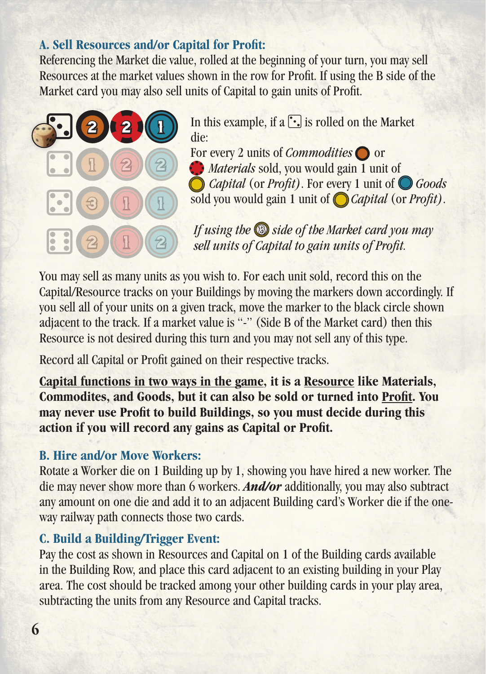#### **A. Sell Resources and/or Capital for Profit:**

Referencing the Market die value, rolled at the beginning of your turn, you may sell Resources at the market values shown in the row for Profit. If using the B side of the Market card you may also sell units of Capital to gain units of Profit.



In this example, if a  $\lceil \cdot \rceil$  is rolled on the Market die:

For every 2 units of *Commodities* or *Materials* sold, you would gain 1 unit of *Capital* (or *Profit)*. For every 1 unit of *Goods* sold you would gain 1 unit of *Capital* (or *Profit)*.

*If using the* Side of the Market card you may *sell units of Capital to gain units of Profit.* 

You may sell as many units as you wish to. For each unit sold, record this on the Capital/Resource tracks on your Buildings by moving the markers down accordingly. If you sell all of your units on a given track, move the marker to the black circle shown adjacent to the track. If a market value is "-" (Side B of the Market card) then this Resource is not desired during this turn and you may not sell any of this type.

Record all Capital or Profit gained on their respective tracks.

**Capital functions in two ways in the game, it is a Resource like Materials, Commodites, and Goods, but it can also be sold or turned into Profit. You may never use Profit to build Buildings, so you must decide during this action if you will record any gains as Capital or Profit.**

#### **B. Hire and/or Move Workers:**

Rotate a Worker die on 1 Building up by 1, showing you have hired a new worker. The die may never show more than 6 workers. *And/or* additionally, you may also subtract any amount on one die and add it to an adjacent Building card's Worker die if the oneway railway path connects those two cards.

#### **C. Build a Building/Trigger Event:**

Pay the cost as shown in Resources and Capital on 1 of the Building cards available in the Building Row, and place this card adjacent to an existing building in your Play area. The cost should be tracked among your other building cards in your play area, subtracting the units from any Resource and Capital tracks.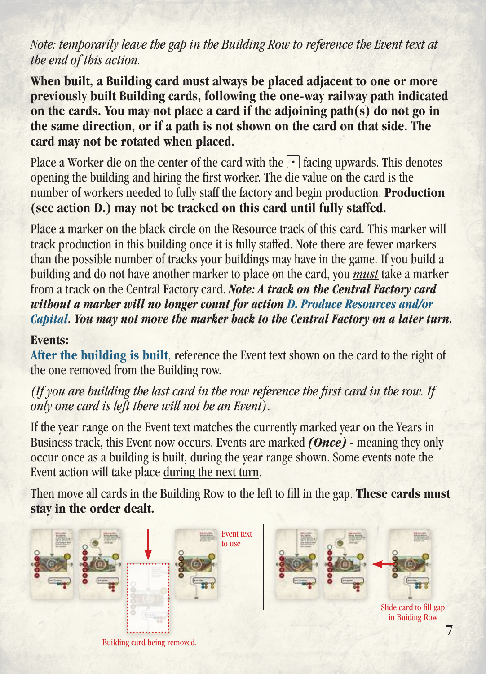#### *Note: temporarily leave the gap in the Building Row to reference the Event text at the end of this action.*

**When built, a Building card must always be placed adjacent to one or more previously built Building cards, following the one-way railway path indicated on the cards. You may not place a card if the adjoining path(s) do not go in the same direction, or if a path is not shown on the card on that side. The card may not be rotated when placed.**

Place a Worker die on the center of the card with the  $\cdot \cdot$  facing upwards. This denotes opening the building and hiring the first worker. The die value on the card is the number of workers needed to fully staff the factory and begin production. **Production (see action D.) may not be tracked on this card until fully staffed.**

Place a marker on the black circle on the Resource track of this card. This marker will track production in this building once it is fully staffed. Note there are fewer markers than the possible number of tracks your buildings may have in the game. If you build a building and do not have another marker to place on the card, you *must* take a marker from a track on the Central Factory card. *Note: A track on the Central Factory card without a marker will no longer count for action D. Produce Resources and/or Capital. You may not move the marker back to the Central Factory on a later turn.*

#### **Events:**

**After the building is built**, reference the Event text shown on the card to the right of the one removed from the Building row.

*(If you are building the last card in the row reference the first card in the row. If only one card is left there will not be an Event)*.

If the year range on the Event text matches the currently marked year on the Years in Business track, this Event now occurs. Events are marked *(Once)* - meaning they only occur once as a building is built, during the year range shown. Some events note the Event action will take place during the next turn.

Then move all cards in the Building Row to the left to fill in the gap. **These cards must stay in the order dealt.**

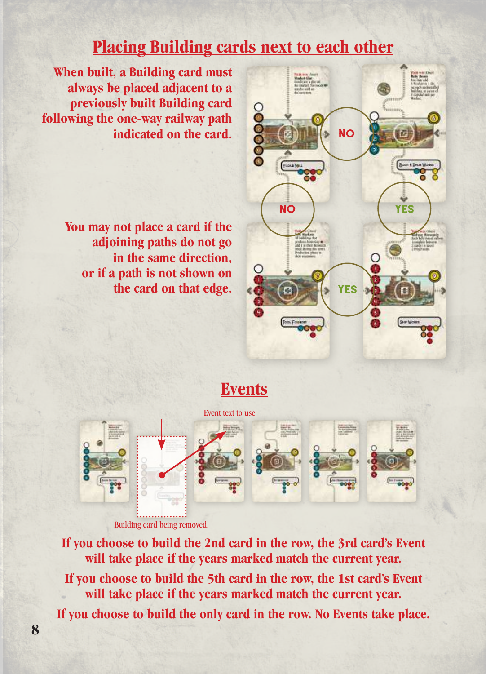### **Placing Building cards next to each other**

**When built, a Building card must always be placed adjacent to a previously built Building card following the one-way railway path indicated on the card.** 

> **You may not place a card if the adjoining paths do not go in the same direction, or if a path is not shown on the card on that edge.**



### **Events**



**If you choose to build the 2nd card in the row, the 3rd card's Event will take place if the years marked match the current year. If you choose to build the 5th card in the row, the 1st card's Event will take place if the years marked match the current year. If you choose to build the only card in the row. No Events take place.**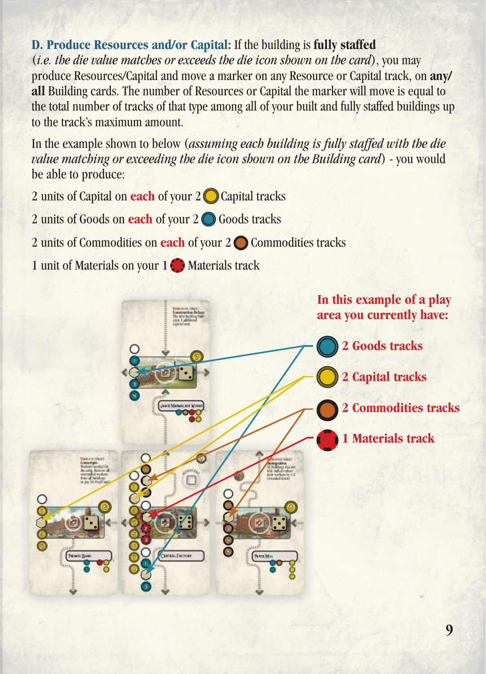#### **D. Produce Resources and/or Capital:** If the building is **fully staffed**

(*i.e. the die value matches or exceeds the die icon shown on the card*), you may produce Resources/Capital and move a marker on any Resource or Capital track, on **any/ all** Building cards. The number of Resources or Capital the marker will move is equal to the total number of tracks of that type among all of your built and fully staffed buildings up to the track's maximum amount.

In the example shown to below (*assuming each building is fully staffed with the die value matching or exceeding the die icon shown on the Building card*) - you would be able to produce:

2 units of Capital on **each** of your 2 Capital tracks

2 units of Goods on **each** of your 2 Goods tracks

2 units of Commodities on **each** of your 2 **◯** Commodities tracks

1 unit of Materials on your 1<sup>1</sup> Materials track

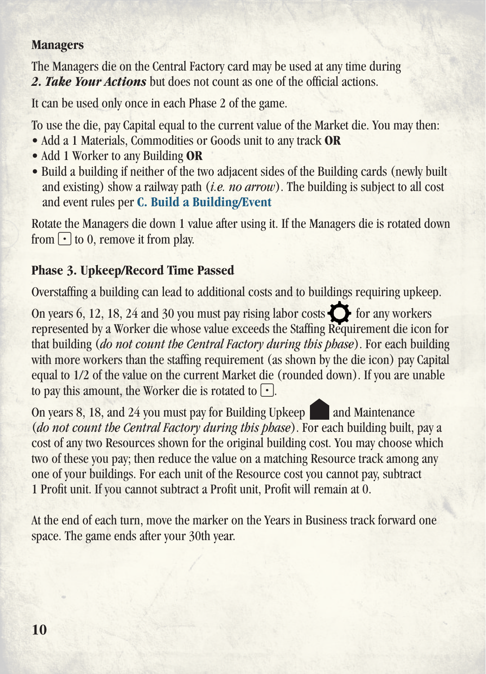#### **Managers**

The Managers die on the Central Factory card may be used at any time during *2. Take Your Actions* but does not count as one of the official actions.

It can be used only once in each Phase 2 of the game.

To use the die, pay Capital equal to the current value of the Market die. You may then:

- Add a 1 Materials, Commodities or Goods unit to any track **OR**
- Add 1 Worker to any Building **OR**
- Build a building if neither of the two adjacent sides of the Building cards (newly built and existing) show a railway path (*i.e. no arrow*). The building is subject to all cost and event rules per **C. Build a Building/Event**

Rotate the Managers die down 1 value after using it. If the Managers die is rotated down from  $\lceil \cdot \rceil$  to 0, remove it from play.

### **Phase 3. Upkeep/Record Time Passed**

Overstaffing a building can lead to additional costs and to buildings requiring upkeep.

On years 6, 12, 18, 24 and 30 you must pay rising labor costs  $\bigcirc$  for any workers represented by a Worker die whose value exceeds the Staffing Requirement die icon for that building (*do not count the Central Factory during this phase*). For each building with more workers than the staffing requirement (as shown by the die icon) pay Capital equal to 1/2 of the value on the current Market die (rounded down). If you are unable to pay this amount, the Worker die is rotated to  $\lceil \cdot \rceil$ .

On years 8, 18, and 24 you must pay for Building Upkeep and Maintenance (*do not count the Central Factory during this phase*). For each building built, pay a cost of any two Resources shown for the original building cost. You may choose which two of these you pay; then reduce the value on a matching Resource track among any one of your buildings. For each unit of the Resource cost you cannot pay, subtract 1 Profit unit. If you cannot subtract a Profit unit, Profit will remain at 0.

At the end of each turn, move the marker on the Years in Business track forward one space. The game ends after your 30th year.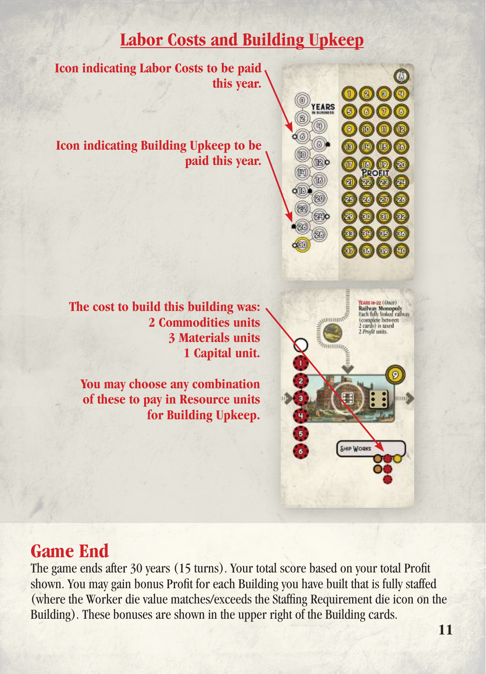### **Labor Costs and Building Upkeep**

**Icon indicating Labor Costs to be paid this year.**

**Icon indicating Building Upkeep to be paid this year.**



SHIP WORKS

**The cost to build this building was: 2 Commodities units 3 Materials units 1 Capital unit.**

**You may choose any combination of these to pay in Resource units for Building Upkeep.**

## **Game End**

The game ends after 30 years (15 turns). Your total score based on your total Profit shown. You may gain bonus Profit for each Building you have built that is fully staffed (where the Worker die value matches/exceeds the Staffing Requirement die icon on the Building). These bonuses are shown in the upper right of the Building cards.